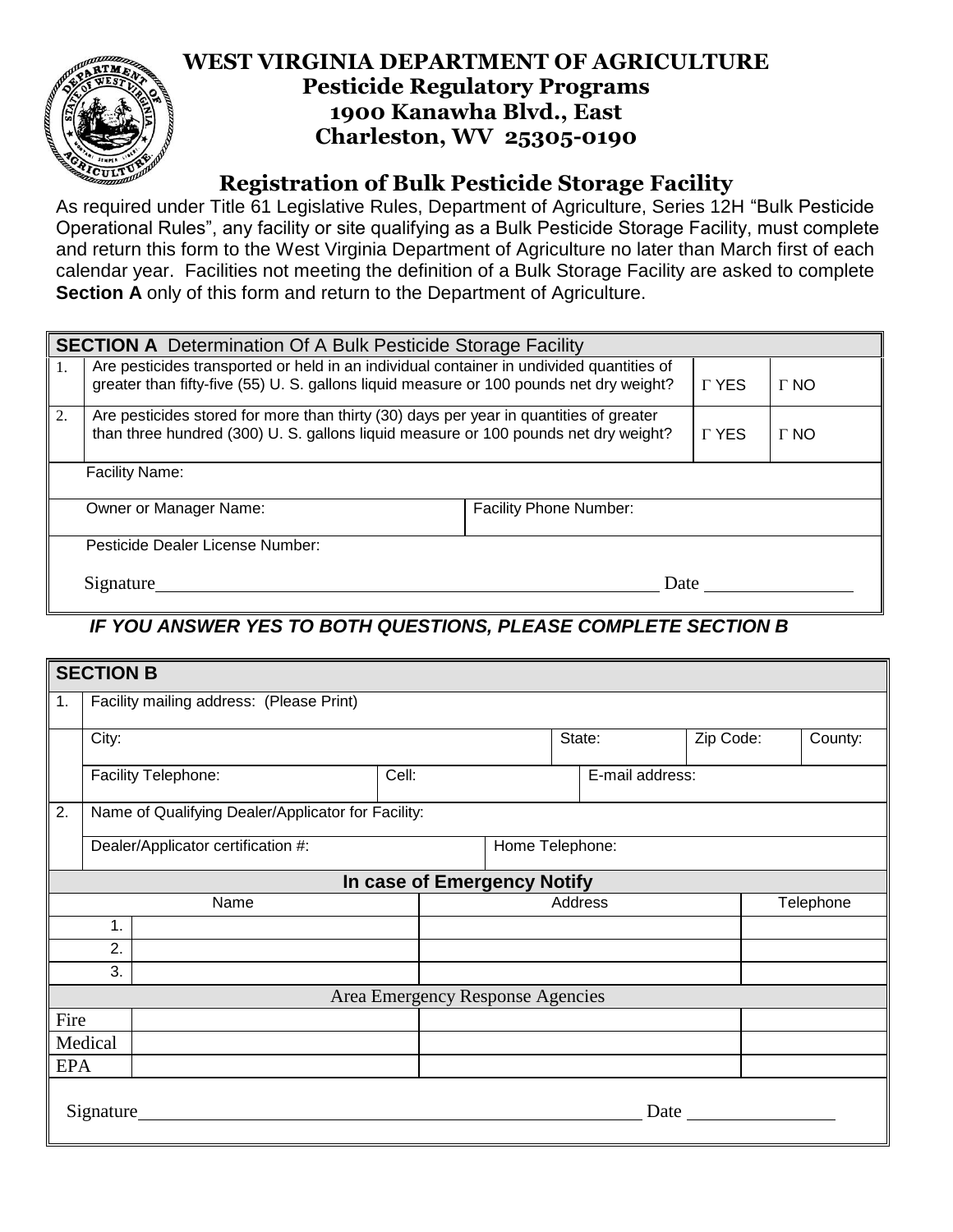

## **WEST VIRGINIA DEPARTMENT OF AGRICULTURE Pesticide Regulatory Programs 1900 Kanawha Blvd., East Charleston, WV 25305-0190**

## **Registration of Bulk Pesticide Storage Facility**

As required under Title 61 Legislative Rules, Department of Agriculture, Series 12H "Bulk Pesticide Operational Rules", any facility or site qualifying as a Bulk Pesticide Storage Facility, must complete and return this form to the West Virginia Department of Agriculture no later than March first of each calendar year. Facilities not meeting the definition of a Bulk Storage Facility are asked to complete **Section A** only of this form and return to the Department of Agriculture.

| <b>SECTION A</b> Determination Of A Bulk Pesticide Storage Facility |                                                                                                                                                                                     |             |             |             |  |  |
|---------------------------------------------------------------------|-------------------------------------------------------------------------------------------------------------------------------------------------------------------------------------|-------------|-------------|-------------|--|--|
|                                                                     | Are pesticides transported or held in an individual container in undivided quantities of<br>greater than fifty-five (55) U. S. gallons liquid measure or 100 pounds net dry weight? |             |             | $\Gamma$ NO |  |  |
| 2.                                                                  | Are pesticides stored for more than thirty (30) days per year in quantities of greater<br>than three hundred (300) U. S. gallons liquid measure or 100 pounds net dry weight?       | <b>TYES</b> | $\Gamma$ NO |             |  |  |
| <b>Facility Name:</b>                                               |                                                                                                                                                                                     |             |             |             |  |  |
|                                                                     | <b>Facility Phone Number:</b><br>Owner or Manager Name:                                                                                                                             |             |             |             |  |  |
|                                                                     | Pesticide Dealer License Number:                                                                                                                                                    |             |             |             |  |  |
| Signature                                                           |                                                                                                                                                                                     |             | Date        |             |  |  |

## *IF YOU ANSWER YES TO BOTH QUESTIONS, PLEASE COMPLETE SECTION B*

| <b>SECTION B</b>                 |                                                    |  |  |  |                 |  |           |           |         |
|----------------------------------|----------------------------------------------------|--|--|--|-----------------|--|-----------|-----------|---------|
| 1.                               | Facility mailing address: (Please Print)           |  |  |  |                 |  |           |           |         |
|                                  | City:                                              |  |  |  | State:          |  | Zip Code: |           | County: |
|                                  | Facility Telephone:<br>Cell:                       |  |  |  | E-mail address: |  |           |           |         |
| 2.                               | Name of Qualifying Dealer/Applicator for Facility: |  |  |  |                 |  |           |           |         |
|                                  | Dealer/Applicator certification #:                 |  |  |  | Home Telephone: |  |           |           |         |
|                                  | In case of Emergency Notify                        |  |  |  |                 |  |           |           |         |
|                                  | Name                                               |  |  |  | Address         |  |           | Telephone |         |
|                                  | 1.                                                 |  |  |  |                 |  |           |           |         |
| 2.                               |                                                    |  |  |  |                 |  |           |           |         |
|                                  | 3.                                                 |  |  |  |                 |  |           |           |         |
| Area Emergency Response Agencies |                                                    |  |  |  |                 |  |           |           |         |
| Fire                             |                                                    |  |  |  |                 |  |           |           |         |
| Medical                          |                                                    |  |  |  |                 |  |           |           |         |
| <b>EPA</b>                       |                                                    |  |  |  |                 |  |           |           |         |
| Signature                        |                                                    |  |  |  |                 |  | Date      |           |         |